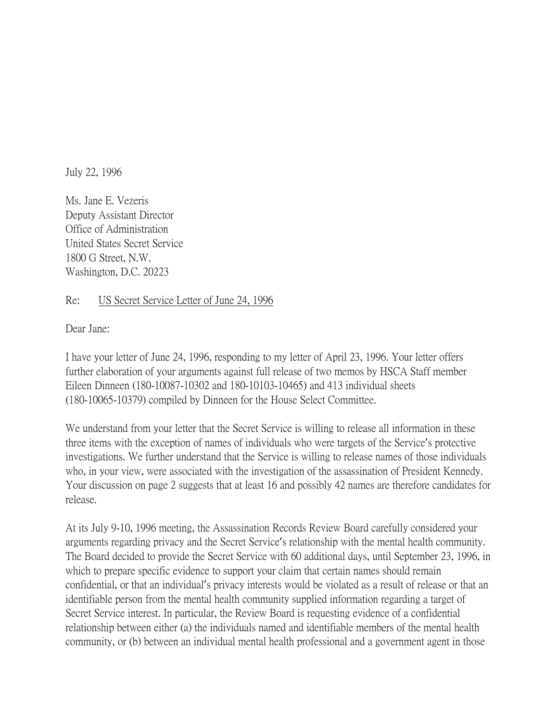July 22, 1996

Ms. Jane E. Vezeris Deputy Assistant Director Office of Administration United States Secret Service 1800 G Street, N.W. Washington, D.C. 20223

## Re: US Secret Service Letter of June 24, 1996

Dear Jane:

I have your letter of June 24, 1996, responding to my letter of April 23, 1996. Your letter offers further elaboration of your arguments against full release of two memos by HSCA Staff member Eileen Dinneen (180-10087-10302 and 180-10103-10465) and 413 individual sheets (180-10065-10379) compiled by Dinneen for the House Select Committee.

We understand from your letter that the Secret Service is willing to release all information in these three items with the exception of names of individuals who were targets of the Service's protective investigations. We further understand that the Service is willing to release names of those individuals who, in your view, were associated with the investigation of the assassination of President Kennedy. Your discussion on page 2 suggests that at least 16 and possibly 42 names are therefore candidates for release.

At its July 9-10, 1996 meeting, the Assassination Records Review Board carefully considered your arguments regarding privacy and the Secret Service's relationship with the mental health community. The Board decided to provide the Secret Service with 60 additional days, until September 23, 1996, in which to prepare specific evidence to support your claim that certain names should remain confidential, or that an individual's privacy interests would be violated as a result of release or that an identifiable person from the mental health community supplied information regarding a target of Secret Service interest. In particular, the Review Board is requesting evidence of a confidential relationship between either (a) the individuals named and identifiable members of the mental health community, or (b) between an individual mental health professional and a government agent in those